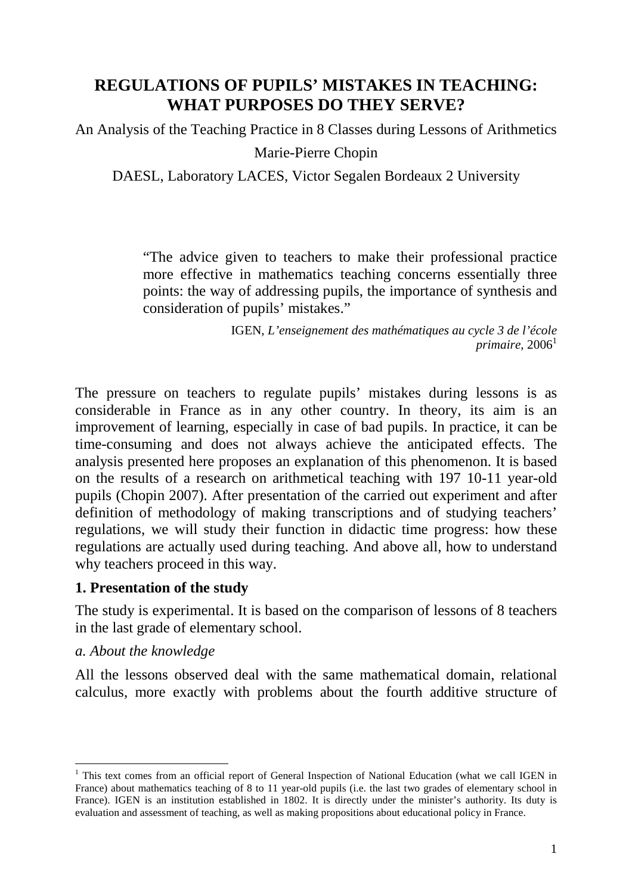# **REGULATIONS OF PUPILS' MISTAKES IN TEACHING: WHAT PURPOSES DO THEY SERVE?**

An Analysis of the Teaching Practice in 8 Classes during Lessons of Arithmetics

Marie-Pierre Chopin

DAESL, Laboratory LACES, Victor Segalen Bordeaux 2 University

"The advice given to teachers to make their professional practice more effective in mathematics teaching concerns essentially three points: the way of addressing pupils, the importance of synthesis and consideration of pupils' mistakes."

> IGEN, *L'enseignement des mathématiques au cycle 3 de l'école*   $primaire, 2006<sup>1</sup>$

The pressure on teachers to regulate pupils' mistakes during lessons is as considerable in France as in any other country. In theory, its aim is an improvement of learning, especially in case of bad pupils. In practice, it can be time-consuming and does not always achieve the anticipated effects. The analysis presented here proposes an explanation of this phenomenon. It is based on the results of a research on arithmetical teaching with 197 10-11 year-old pupils (Chopin 2007). After presentation of the carried out experiment and after definition of methodology of making transcriptions and of studying teachers' regulations, we will study their function in didactic time progress: how these regulations are actually used during teaching. And above all, how to understand why teachers proceed in this way.

### **1. Presentation of the study**

The study is experimental. It is based on the comparison of lessons of 8 teachers in the last grade of elementary school.

### *a. About the knowledge*

 $\overline{a}$ 

All the lessons observed deal with the same mathematical domain, relational calculus, more exactly with problems about the fourth additive structure of

<sup>&</sup>lt;sup>1</sup> This text comes from an official report of General Inspection of National Education (what we call IGEN in France) about mathematics teaching of 8 to 11 year-old pupils (i.e. the last two grades of elementary school in France). IGEN is an institution established in 1802. It is directly under the minister's authority. Its duty is evaluation and assessment of teaching, as well as making propositions about educational policy in France.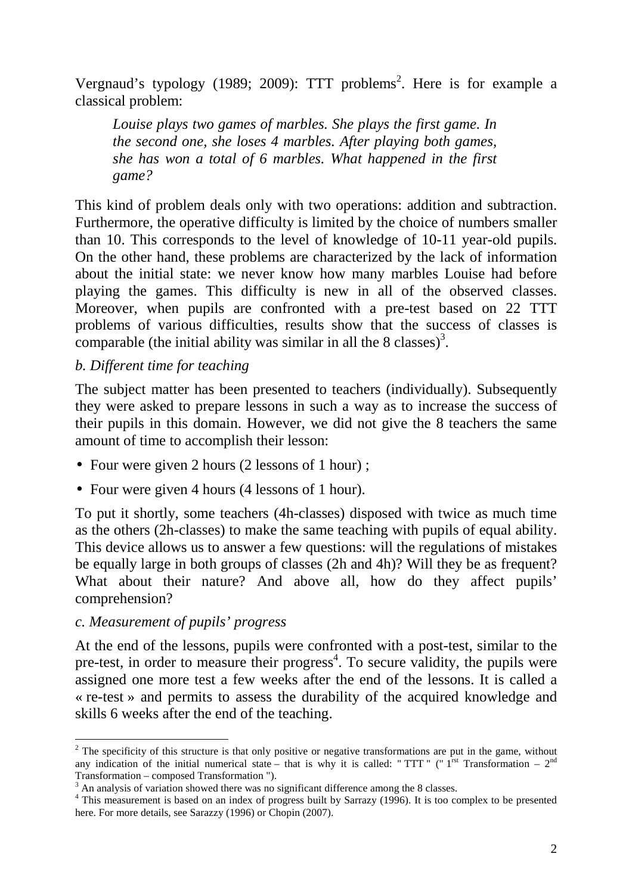Vergnaud's typology (1989; 2009): TTT problems<sup>2</sup>. Here is for example a classical problem:

*Louise plays two games of marbles. She plays the first game. In the second one, she loses 4 marbles. After playing both games, she has won a total of 6 marbles. What happened in the first game?* 

This kind of problem deals only with two operations: addition and subtraction. Furthermore, the operative difficulty is limited by the choice of numbers smaller than 10. This corresponds to the level of knowledge of 10-11 year-old pupils. On the other hand, these problems are characterized by the lack of information about the initial state: we never know how many marbles Louise had before playing the games. This difficulty is new in all of the observed classes. Moreover, when pupils are confronted with a pre-test based on 22 TTT problems of various difficulties, results show that the success of classes is comparable (the initial ability was similar in all the 8 classes)<sup>3</sup>.

### *b. Different time for teaching*

The subject matter has been presented to teachers (individually). Subsequently they were asked to prepare lessons in such a way as to increase the success of their pupils in this domain. However, we did not give the 8 teachers the same amount of time to accomplish their lesson:

- Four were given 2 hours (2 lessons of 1 hour);
- Four were given 4 hours (4 lessons of 1 hour).

To put it shortly, some teachers (4h-classes) disposed with twice as much time as the others (2h-classes) to make the same teaching with pupils of equal ability. This device allows us to answer a few questions: will the regulations of mistakes be equally large in both groups of classes (2h and 4h)? Will they be as frequent? What about their nature? And above all, how do they affect pupils' comprehension?

#### *c. Measurement of pupils' progress*

At the end of the lessons, pupils were confronted with a post-test, similar to the pre-test, in order to measure their progress<sup>4</sup>. To secure validity, the pupils were assigned one more test a few weeks after the end of the lessons. It is called a « re-test » and permits to assess the durability of the acquired knowledge and skills 6 weeks after the end of the teaching.

<sup>&</sup>lt;sup>2</sup> The specificity of this structure is that only positive or negative transformations are put in the game, without any indication of the initial numerical state – that is why it is called: "TTT " (" $1^{rst}$  Transformation –  $2^{nd}$ Transformation – composed Transformation ").

 $3$  An analysis of variation showed there was no significant difference among the 8 classes.

<sup>&</sup>lt;sup>4</sup> This measurement is based on an index of progress built by Sarrazy (1996). It is too complex to be presented here. For more details, see Sarazzy (1996) or Chopin (2007).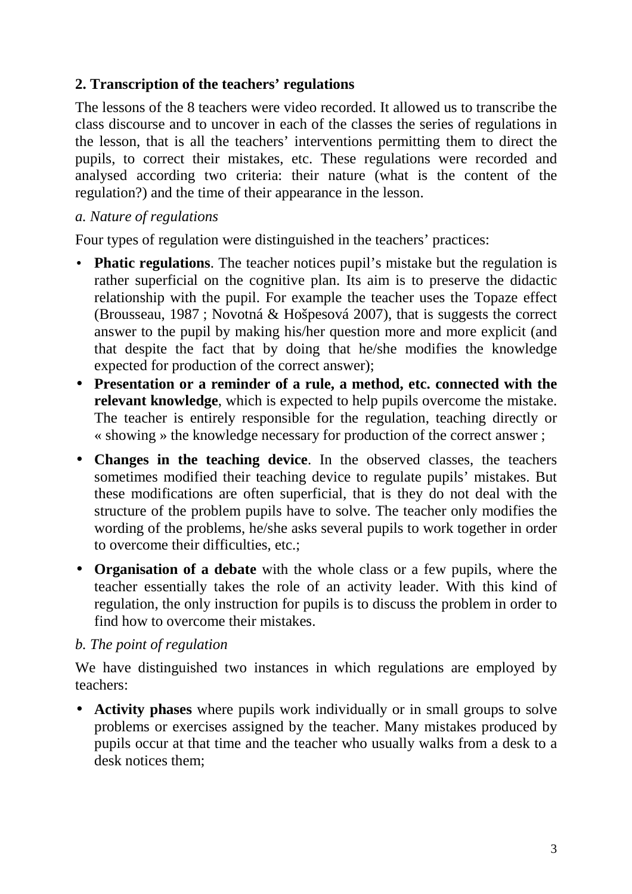# **2. Transcription of the teachers' regulations**

The lessons of the 8 teachers were video recorded. It allowed us to transcribe the class discourse and to uncover in each of the classes the series of regulations in the lesson, that is all the teachers' interventions permitting them to direct the pupils, to correct their mistakes, etc. These regulations were recorded and analysed according two criteria: their nature (what is the content of the regulation?) and the time of their appearance in the lesson.

### *a. Nature of regulations*

Four types of regulation were distinguished in the teachers' practices:

- **Phatic regulations**. The teacher notices pupil's mistake but the regulation is rather superficial on the cognitive plan. Its aim is to preserve the didactic relationship with the pupil. For example the teacher uses the Topaze effect (Brousseau, 1987 ; Novotná & Hošpesová 2007), that is suggests the correct answer to the pupil by making his/her question more and more explicit (and that despite the fact that by doing that he/she modifies the knowledge expected for production of the correct answer);
- **Presentation or a reminder of a rule, a method, etc. connected with the relevant knowledge**, which is expected to help pupils overcome the mistake. The teacher is entirely responsible for the regulation, teaching directly or « showing » the knowledge necessary for production of the correct answer ;
- **Changes in the teaching device**. In the observed classes, the teachers sometimes modified their teaching device to regulate pupils' mistakes. But these modifications are often superficial, that is they do not deal with the structure of the problem pupils have to solve. The teacher only modifies the wording of the problems, he/she asks several pupils to work together in order to overcome their difficulties, etc.;
- **Organisation of a debate** with the whole class or a few pupils, where the teacher essentially takes the role of an activity leader. With this kind of regulation, the only instruction for pupils is to discuss the problem in order to find how to overcome their mistakes.

# *b. The point of regulation*

We have distinguished two instances in which regulations are employed by teachers:

• **Activity phases** where pupils work individually or in small groups to solve problems or exercises assigned by the teacher. Many mistakes produced by pupils occur at that time and the teacher who usually walks from a desk to a desk notices them;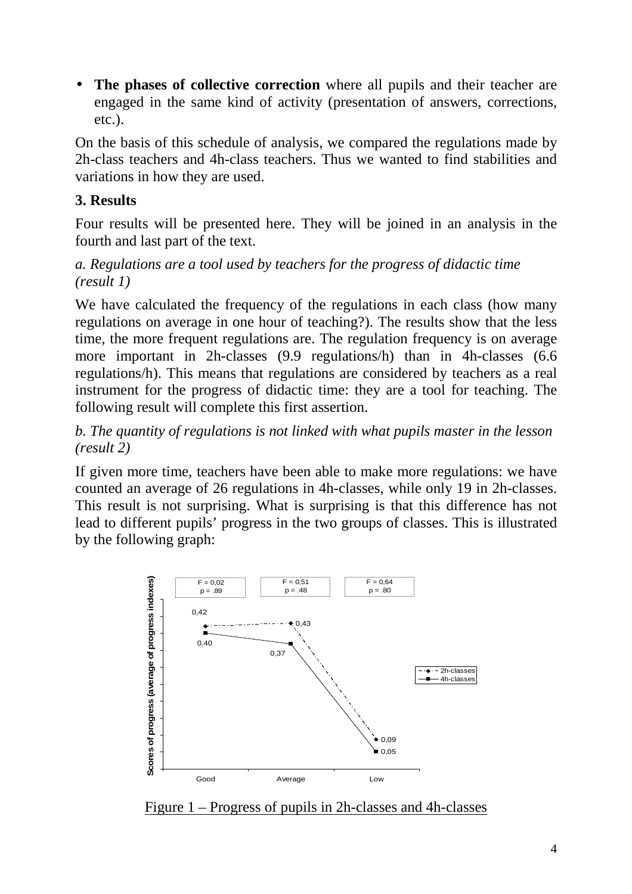• **The phases of collective correction** where all pupils and their teacher are engaged in the same kind of activity (presentation of answers, corrections, etc.).

On the basis of this schedule of analysis, we compared the regulations made by 2h-class teachers and 4h-class teachers. Thus we wanted to find stabilities and variations in how they are used.

# **3. Results**

Four results will be presented here. They will be joined in an analysis in the fourth and last part of the text.

# *a. Regulations are a tool used by teachers for the progress of didactic time (result 1)*

We have calculated the frequency of the regulations in each class (how many regulations on average in one hour of teaching?). The results show that the less time, the more frequent regulations are. The regulation frequency is on average more important in 2h-classes (9.9 regulations/h) than in 4h-classes (6.6 regulations/h). This means that regulations are considered by teachers as a real instrument for the progress of didactic time: they are a tool for teaching. The following result will complete this first assertion.

*b. The quantity of regulations is not linked with what pupils master in the lesson (result 2)* 

If given more time, teachers have been able to make more regulations: we have counted an average of 26 regulations in 4h-classes, while only 19 in 2h-classes. This result is not surprising. What is surprising is that this difference has not lead to different pupils' progress in the two groups of classes. This is illustrated by the following graph:



Figure 1 – Progress of pupils in 2h-classes and 4h-classes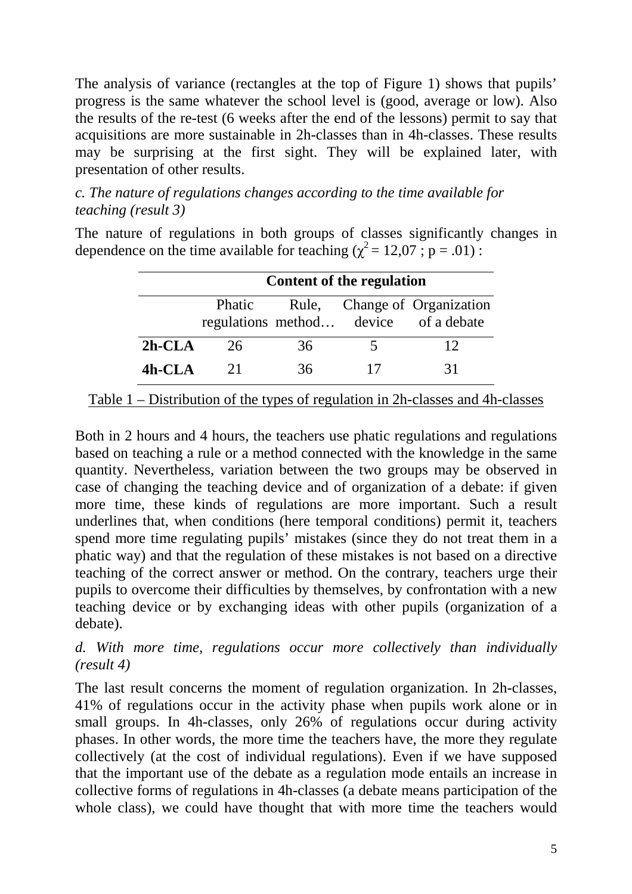The analysis of variance (rectangles at the top of Figure 1) shows that pupils' progress is the same whatever the school level is (good, average or low). Also the results of the re-test (6 weeks after the end of the lessons) permit to say that acquisitions are more sustainable in 2h-classes than in 4h-classes. These results may be surprising at the first sight. They will be explained later, with presentation of other results.

# *c. The nature of regulations changes according to the time available for teaching (result 3)*

The nature of regulations in both groups of classes significantly changes in dependence on the time available for teaching ( $\chi^2 = 12,07$ ; p = .01):

|           | <b>Content of the regulation</b> |     |  |                                                                       |
|-----------|----------------------------------|-----|--|-----------------------------------------------------------------------|
|           | Phatic                           |     |  | Rule, Change of Organization<br>regulations method device of a debate |
| $2h$ -CLA | 26                               | 36  |  | 12                                                                    |
| $4h$ -CLA | 21                               | 36. |  | 31                                                                    |

### Table 1 – Distribution of the types of regulation in 2h-classes and 4h-classes

Both in 2 hours and 4 hours, the teachers use phatic regulations and regulations based on teaching a rule or a method connected with the knowledge in the same quantity. Nevertheless, variation between the two groups may be observed in case of changing the teaching device and of organization of a debate: if given more time, these kinds of regulations are more important. Such a result underlines that, when conditions (here temporal conditions) permit it, teachers spend more time regulating pupils' mistakes (since they do not treat them in a phatic way) and that the regulation of these mistakes is not based on a directive teaching of the correct answer or method. On the contrary, teachers urge their pupils to overcome their difficulties by themselves, by confrontation with a new teaching device or by exchanging ideas with other pupils (organization of a debate).

# *d. With more time, regulations occur more collectively than individually (result 4)*

The last result concerns the moment of regulation organization. In 2h-classes, 41% of regulations occur in the activity phase when pupils work alone or in small groups. In 4h-classes, only 26% of regulations occur during activity phases. In other words, the more time the teachers have, the more they regulate collectively (at the cost of individual regulations). Even if we have supposed that the important use of the debate as a regulation mode entails an increase in collective forms of regulations in 4h-classes (a debate means participation of the whole class), we could have thought that with more time the teachers would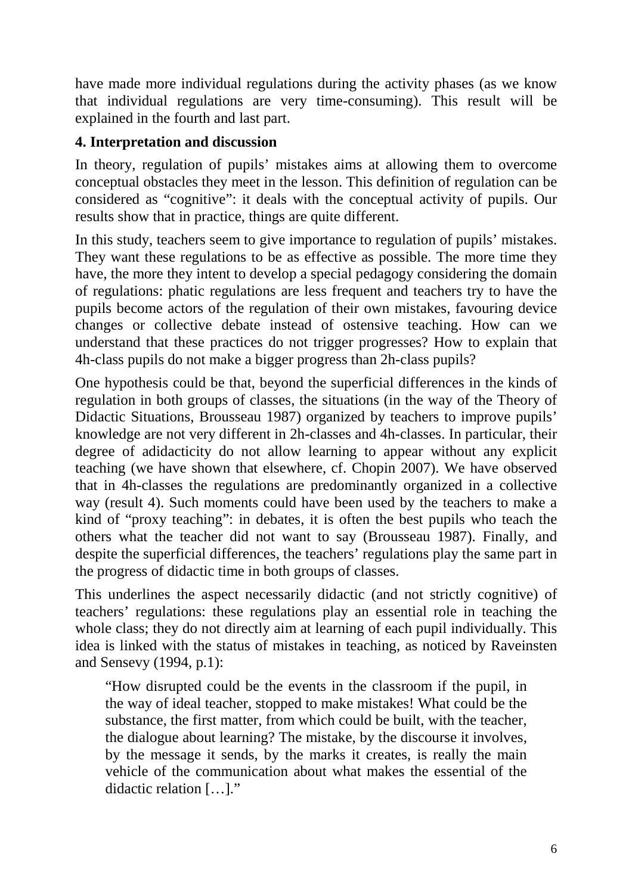have made more individual regulations during the activity phases (as we know that individual regulations are very time-consuming). This result will be explained in the fourth and last part.

# **4. Interpretation and discussion**

In theory, regulation of pupils' mistakes aims at allowing them to overcome conceptual obstacles they meet in the lesson. This definition of regulation can be considered as "cognitive": it deals with the conceptual activity of pupils. Our results show that in practice, things are quite different.

In this study, teachers seem to give importance to regulation of pupils' mistakes. They want these regulations to be as effective as possible. The more time they have, the more they intent to develop a special pedagogy considering the domain of regulations: phatic regulations are less frequent and teachers try to have the pupils become actors of the regulation of their own mistakes, favouring device changes or collective debate instead of ostensive teaching. How can we understand that these practices do not trigger progresses? How to explain that 4h-class pupils do not make a bigger progress than 2h-class pupils?

One hypothesis could be that, beyond the superficial differences in the kinds of regulation in both groups of classes, the situations (in the way of the Theory of Didactic Situations, Brousseau 1987) organized by teachers to improve pupils' knowledge are not very different in 2h-classes and 4h-classes. In particular, their degree of adidacticity do not allow learning to appear without any explicit teaching (we have shown that elsewhere, cf. Chopin 2007). We have observed that in 4h-classes the regulations are predominantly organized in a collective way (result 4). Such moments could have been used by the teachers to make a kind of "proxy teaching": in debates, it is often the best pupils who teach the others what the teacher did not want to say (Brousseau 1987). Finally, and despite the superficial differences, the teachers' regulations play the same part in the progress of didactic time in both groups of classes.

This underlines the aspect necessarily didactic (and not strictly cognitive) of teachers' regulations: these regulations play an essential role in teaching the whole class; they do not directly aim at learning of each pupil individually. This idea is linked with the status of mistakes in teaching, as noticed by Raveinsten and Sensevy (1994, p.1):

"How disrupted could be the events in the classroom if the pupil, in the way of ideal teacher, stopped to make mistakes! What could be the substance, the first matter, from which could be built, with the teacher, the dialogue about learning? The mistake, by the discourse it involves, by the message it sends, by the marks it creates, is really the main vehicle of the communication about what makes the essential of the didactic relation […]."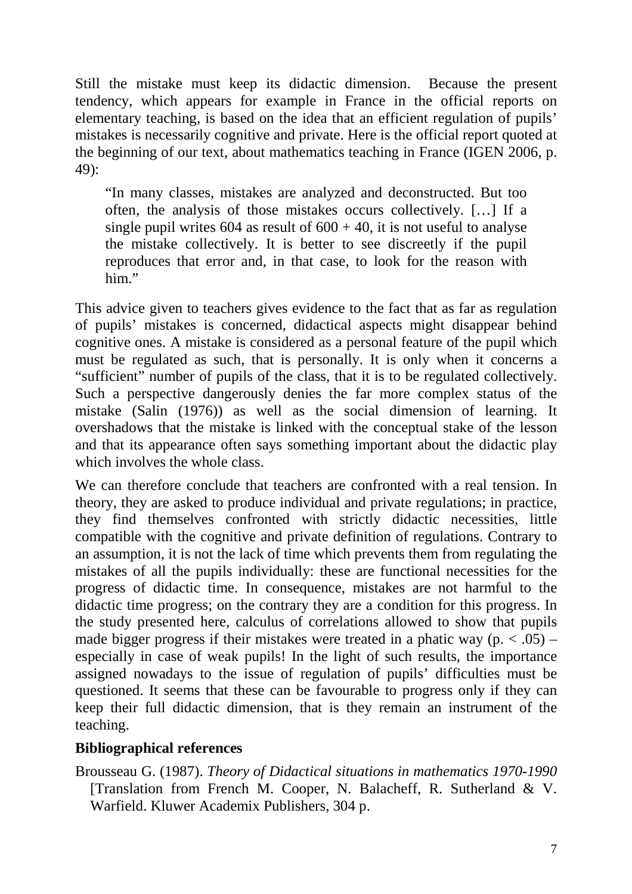Still the mistake must keep its didactic dimension. Because the present tendency, which appears for example in France in the official reports on elementary teaching, is based on the idea that an efficient regulation of pupils' mistakes is necessarily cognitive and private. Here is the official report quoted at the beginning of our text, about mathematics teaching in France (IGEN 2006, p. 49):

"In many classes, mistakes are analyzed and deconstructed. But too often, the analysis of those mistakes occurs collectively. […] If a single pupil writes  $604$  as result of  $600 + 40$ , it is not useful to analyse the mistake collectively. It is better to see discreetly if the pupil reproduces that error and, in that case, to look for the reason with him."

This advice given to teachers gives evidence to the fact that as far as regulation of pupils' mistakes is concerned, didactical aspects might disappear behind cognitive ones. A mistake is considered as a personal feature of the pupil which must be regulated as such, that is personally. It is only when it concerns a "sufficient" number of pupils of the class, that it is to be regulated collectively. Such a perspective dangerously denies the far more complex status of the mistake (Salin (1976)) as well as the social dimension of learning. It overshadows that the mistake is linked with the conceptual stake of the lesson and that its appearance often says something important about the didactic play which involves the whole class.

We can therefore conclude that teachers are confronted with a real tension. In theory, they are asked to produce individual and private regulations; in practice, they find themselves confronted with strictly didactic necessities, little compatible with the cognitive and private definition of regulations. Contrary to an assumption, it is not the lack of time which prevents them from regulating the mistakes of all the pupils individually: these are functional necessities for the progress of didactic time. In consequence, mistakes are not harmful to the didactic time progress; on the contrary they are a condition for this progress. In the study presented here, calculus of correlations allowed to show that pupils made bigger progress if their mistakes were treated in a phatic way ( $p \leq .05$ ) – especially in case of weak pupils! In the light of such results, the importance assigned nowadays to the issue of regulation of pupils' difficulties must be questioned. It seems that these can be favourable to progress only if they can keep their full didactic dimension, that is they remain an instrument of the teaching.

### **Bibliographical references**

Brousseau G. (1987). *Theory of Didactical situations in mathematics 1970-1990* [Translation from French M. Cooper, N. Balacheff, R. Sutherland & V. Warfield. Kluwer Academix Publishers, 304 p.